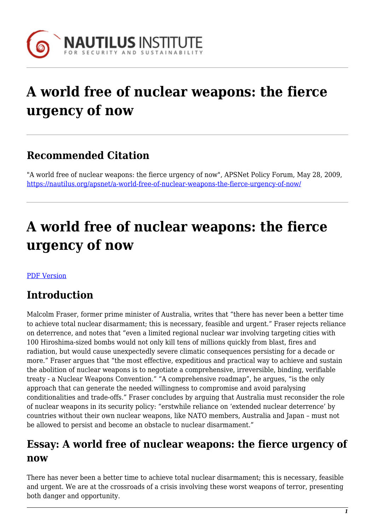

# **A world free of nuclear weapons: the fierce urgency of now**

## **Recommended Citation**

"A world free of nuclear weapons: the fierce urgency of now", APSNet Policy Forum, May 28, 2009, <https://nautilus.org/apsnet/a-world-free-of-nuclear-weapons-the-fierce-urgency-of-now/>

# **A world free of nuclear weapons: the fierce urgency of now**

#### [PDF Version](https://nautilus.org/wp-content/uploads/2009/12/Fraser-PDF.pdf)

## **Introduction**

Malcolm Fraser, former prime minister of Australia, writes that "there has never been a better time to achieve total nuclear disarmament; this is necessary, feasible and urgent." Fraser rejects reliance on deterrence, and notes that "even a limited regional nuclear war involving targeting cities with 100 Hiroshima-sized bombs would not only kill tens of millions quickly from blast, fires and radiation, but would cause unexpectedly severe climatic consequences persisting for a decade or more." Fraser argues that "the most effective, expeditious and practical way to achieve and sustain the abolition of nuclear weapons is to negotiate a comprehensive, irreversible, binding, verifiable treaty - a Nuclear Weapons Convention." "A comprehensive roadmap", he argues, "is the only approach that can generate the needed willingness to compromise and avoid paralysing conditionalities and trade-offs." Fraser concludes by arguing that Australia must reconsider the role of nuclear weapons in its security policy: "erstwhile reliance on 'extended nuclear deterrence' by countries without their own nuclear weapons, like NATO members, Australia and Japan – must not be allowed to persist and become an obstacle to nuclear disarmament."

#### **Essay: A world free of nuclear weapons: the fierce urgency of now**

There has never been a better time to achieve total nuclear disarmament; this is necessary, feasible and urgent. We are at the crossroads of a crisis involving these worst weapons of terror, presenting both danger and opportunity.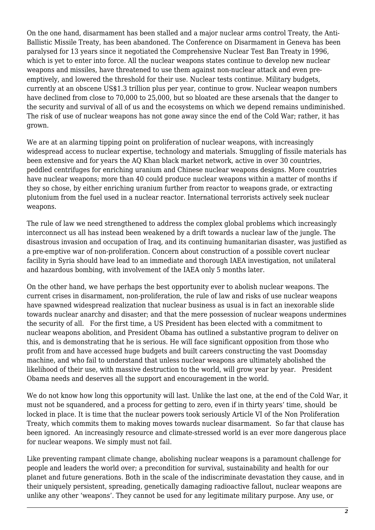On the one hand, disarmament has been stalled and a major nuclear arms control Treaty, the Anti-Ballistic Missile Treaty, has been abandoned. The Conference on Disarmament in Geneva has been paralysed for 13 years since it negotiated the Comprehensive Nuclear Test Ban Treaty in 1996, which is yet to enter into force. All the nuclear weapons states continue to develop new nuclear weapons and missiles, have threatened to use them against non-nuclear attack and even preemptively, and lowered the threshold for their use. Nuclear tests continue. Military budgets, currently at an obscene US\$1.3 trillion plus per year, continue to grow. Nuclear weapon numbers have declined from close to 70,000 to 25,000, but so bloated are these arsenals that the danger to the security and survival of all of us and the ecosystems on which we depend remains undiminished. The risk of use of nuclear weapons has not gone away since the end of the Cold War; rather, it has grown.

We are at an alarming tipping point on proliferation of nuclear weapons, with increasingly widespread access to nuclear expertise, technology and materials. Smuggling of fissile materials has been extensive and for years the AQ Khan black market network, active in over 30 countries, peddled centrifuges for enriching uranium and Chinese nuclear weapons designs. More countries have nuclear weapons; more than 40 could produce nuclear weapons within a matter of months if they so chose, by either enriching uranium further from reactor to weapons grade, or extracting plutonium from the fuel used in a nuclear reactor. International terrorists actively seek nuclear weapons.

The rule of law we need strengthened to address the complex global problems which increasingly interconnect us all has instead been weakened by a drift towards a nuclear law of the jungle. The disastrous invasion and occupation of Iraq, and its continuing humanitarian disaster, was justified as a pre-emptive war of non-proliferation. Concern about construction of a possible covert nuclear facility in Syria should have lead to an immediate and thorough IAEA investigation, not unilateral and hazardous bombing, with involvement of the IAEA only 5 months later.

On the other hand, we have perhaps the best opportunity ever to abolish nuclear weapons. The current crises in disarmament, non-proliferation, the rule of law and risks of use nuclear weapons have spawned widespread realization that nuclear business as usual is in fact an inexorable slide towards nuclear anarchy and disaster; and that the mere possession of nuclear weapons undermines the security of all. For the first time, a US President has been elected with a commitment to nuclear weapons abolition, and President Obama has outlined a substantive program to deliver on this, and is demonstrating that he is serious. He will face significant opposition from those who profit from and have accessed huge budgets and built careers constructing the vast Doomsday machine, and who fail to understand that unless nuclear weapons are ultimately abolished the likelihood of their use, with massive destruction to the world, will grow year by year. President Obama needs and deserves all the support and encouragement in the world.

We do not know how long this opportunity will last. Unlike the last one, at the end of the Cold War, it must not be squandered, and a process for getting to zero, even if in thirty years' time, should be locked in place. It is time that the nuclear powers took seriously Article VI of the Non Proliferation Treaty, which commits them to making moves towards nuclear disarmament. So far that clause has been ignored. An increasingly resource and climate-stressed world is an ever more dangerous place for nuclear weapons. We simply must not fail.

Like preventing rampant climate change, abolishing nuclear weapons is a paramount challenge for people and leaders the world over; a precondition for survival, sustainability and health for our planet and future generations. Both in the scale of the indiscriminate devastation they cause, and in their uniquely persistent, spreading, genetically damaging radioactive fallout, nuclear weapons are unlike any other 'weapons'. They cannot be used for any legitimate military purpose. Any use, or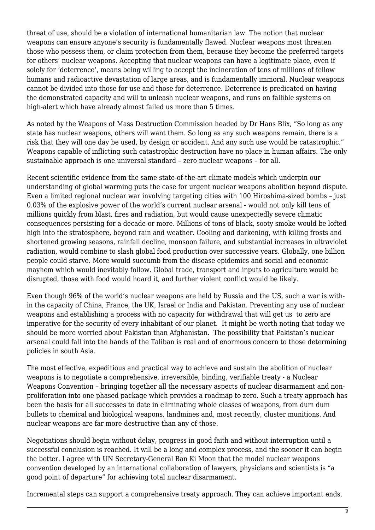threat of use, should be a violation of international humanitarian law. The notion that nuclear weapons can ensure anyone's security is fundamentally flawed. Nuclear weapons most threaten those who possess them, or claim protection from them, because they become the preferred targets for others' nuclear weapons. Accepting that nuclear weapons can have a legitimate place, even if solely for 'deterrence', means being willing to accept the incineration of tens of millions of fellow humans and radioactive devastation of large areas, and is fundamentally immoral. Nuclear weapons cannot be divided into those for use and those for deterrence. Deterrence is predicated on having the demonstrated capacity and will to unleash nuclear weapons, and runs on fallible systems on high-alert which have already almost failed us more than 5 times.

As noted by the Weapons of Mass Destruction Commission headed by Dr Hans Blix, "So long as any state has nuclear weapons, others will want them. So long as any such weapons remain, there is a risk that they will one day be used, by design or accident. And any such use would be catastrophic." Weapons capable of inflicting such catastrophic destruction have no place in human affairs. The only sustainable approach is one universal standard – zero nuclear weapons – for all.

Recent scientific evidence from the same state-of-the-art climate models which underpin our understanding of global warming puts the case for urgent nuclear weapons abolition beyond dispute. Even a limited regional nuclear war involving targeting cities with 100 Hiroshima-sized bombs – just 0.03% of the explosive power of the world's current nuclear arsenal - would not only kill tens of millions quickly from blast, fires and radiation, but would cause unexpectedly severe climatic consequences persisting for a decade or more. Millions of tons of black, sooty smoke would be lofted high into the stratosphere, beyond rain and weather. Cooling and darkening, with killing frosts and shortened growing seasons, rainfall decline, monsoon failure, and substantial increases in ultraviolet radiation, would combine to slash global food production over successive years. Globally, one billion people could starve. More would succumb from the disease epidemics and social and economic mayhem which would inevitably follow. Global trade, transport and inputs to agriculture would be disrupted, those with food would hoard it, and further violent conflict would be likely.

Even though 96% of the world's nuclear weapons are held by Russia and the US, such a war is within the capacity of China, France, the UK, Israel or India and Pakistan. Preventing any use of nuclear weapons and establishing a process with no capacity for withdrawal that will get us to zero are imperative for the security of every inhabitant of our planet. It might be worth noting that today we should be more worried about Pakistan than Afghanistan. The possibility that Pakistan's nuclear arsenal could fall into the hands of the Taliban is real and of enormous concern to those determining policies in south Asia.

The most effective, expeditious and practical way to achieve and sustain the abolition of nuclear weapons is to negotiate a comprehensive, irreversible, binding, verifiable treaty - a Nuclear Weapons Convention – bringing together all the necessary aspects of nuclear disarmament and nonproliferation into one phased package which provides a roadmap to zero. Such a treaty approach has been the basis for all successes to date in eliminating whole classes of weapons, from dum dum bullets to chemical and biological weapons, landmines and, most recently, cluster munitions. And nuclear weapons are far more destructive than any of those.

Negotiations should begin without delay, progress in good faith and without interruption until a successful conclusion is reached. It will be a long and complex process, and the sooner it can begin the better. I agree with UN Secretary-General Ban Ki Moon that the model nuclear weapons convention developed by an international collaboration of lawyers, physicians and scientists is "a good point of departure" for achieving total nuclear disarmament.

Incremental steps can support a comprehensive treaty approach. They can achieve important ends,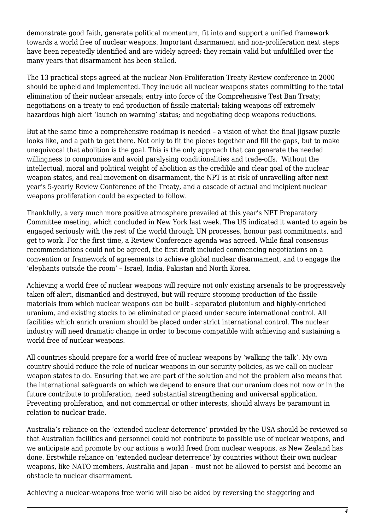demonstrate good faith, generate political momentum, fit into and support a unified framework towards a world free of nuclear weapons. Important disarmament and non-proliferation next steps have been repeatedly identified and are widely agreed; they remain valid but unfulfilled over the many years that disarmament has been stalled.

The 13 practical steps agreed at the nuclear Non-Proliferation Treaty Review conference in 2000 should be upheld and implemented. They include all nuclear weapons states committing to the total elimination of their nuclear arsenals; entry into force of the Comprehensive Test Ban Treaty; negotiations on a treaty to end production of fissile material; taking weapons off extremely hazardous high alert 'launch on warning' status; and negotiating deep weapons reductions.

But at the same time a comprehensive roadmap is needed – a vision of what the final jigsaw puzzle looks like, and a path to get there. Not only to fit the pieces together and fill the gaps, but to make unequivocal that abolition is the goal. This is the only approach that can generate the needed willingness to compromise and avoid paralysing conditionalities and trade-offs. Without the intellectual, moral and political weight of abolition as the credible and clear goal of the nuclear weapon states, and real movement on disarmament, the NPT is at risk of unravelling after next year's 5-yearly Review Conference of the Treaty, and a cascade of actual and incipient nuclear weapons proliferation could be expected to follow.

Thankfully, a very much more positive atmosphere prevailed at this year's NPT Preparatory Committee meeting, which concluded in New York last week. The US indicated it wanted to again be engaged seriously with the rest of the world through UN processes, honour past commitments, and get to work. For the first time, a Review Conference agenda was agreed. While final consensus recommendations could not be agreed, the first draft included commencing negotiations on a convention or framework of agreements to achieve global nuclear disarmament, and to engage the 'elephants outside the room' – Israel, India, Pakistan and North Korea.

Achieving a world free of nuclear weapons will require not only existing arsenals to be progressively taken off alert, dismantled and destroyed, but will require stopping production of the fissile materials from which nuclear weapons can be built - separated plutonium and highly-enriched uranium, and existing stocks to be eliminated or placed under secure international control. All facilities which enrich uranium should be placed under strict international control. The nuclear industry will need dramatic change in order to become compatible with achieving and sustaining a world free of nuclear weapons.

All countries should prepare for a world free of nuclear weapons by 'walking the talk'. My own country should reduce the role of nuclear weapons in our security policies, as we call on nuclear weapon states to do. Ensuring that we are part of the solution and not the problem also means that the international safeguards on which we depend to ensure that our uranium does not now or in the future contribute to proliferation, need substantial strengthening and universal application. Preventing proliferation, and not commercial or other interests, should always be paramount in relation to nuclear trade.

Australia's reliance on the 'extended nuclear deterrence' provided by the USA should be reviewed so that Australian facilities and personnel could not contribute to possible use of nuclear weapons, and we anticipate and promote by our actions a world freed from nuclear weapons, as New Zealand has done. Erstwhile reliance on 'extended nuclear deterrence' by countries without their own nuclear weapons, like NATO members, Australia and Japan – must not be allowed to persist and become an obstacle to nuclear disarmament.

Achieving a nuclear-weapons free world will also be aided by reversing the staggering and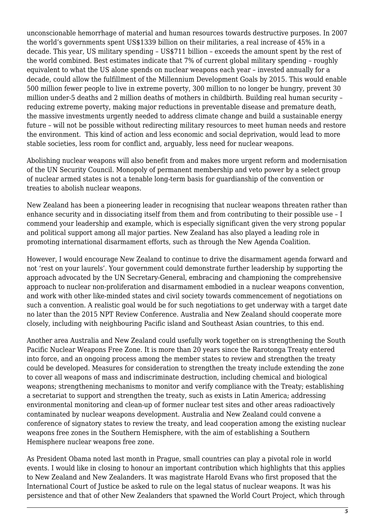unconscionable hemorrhage of material and human resources towards destructive purposes. In 2007 the world's governments spent US\$1339 billion on their militaries, a real increase of 45% in a decade. This year, US military spending – US\$711 billion – exceeds the amount spent by the rest of the world combined. Best estimates indicate that 7% of current global military spending – roughly equivalent to what the US alone spends on nuclear weapons each year – invested annually for a decade, could allow the fulfillment of the Millennium Development Goals by 2015. This would enable 500 million fewer people to live in extreme poverty, 300 million to no longer be hungry, prevent 30 million under-5 deaths and 2 million deaths of mothers in childbirth. Building real human security – reducing extreme poverty, making major reductions in preventable disease and premature death, the massive investments urgently needed to address climate change and build a sustainable energy future – will not be possible without redirecting military resources to meet human needs and restore the environment. This kind of action and less economic and social deprivation, would lead to more stable societies, less room for conflict and, arguably, less need for nuclear weapons.

Abolishing nuclear weapons will also benefit from and makes more urgent reform and modernisation of the UN Security Council. Monopoly of permanent membership and veto power by a select group of nuclear armed states is not a tenable long-term basis for guardianship of the convention or treaties to abolish nuclear weapons.

New Zealand has been a pioneering leader in recognising that nuclear weapons threaten rather than enhance security and in dissociating itself from them and from contributing to their possible use – I commend your leadership and example, which is especially significant given the very strong popular and political support among all major parties. New Zealand has also played a leading role in promoting international disarmament efforts, such as through the New Agenda Coalition.

However, I would encourage New Zealand to continue to drive the disarmament agenda forward and not 'rest on your laurels'. Your government could demonstrate further leadership by supporting the approach advocated by the UN Secretary-General, embracing and championing the comprehensive approach to nuclear non-proliferation and disarmament embodied in a nuclear weapons convention, and work with other like-minded states and civil society towards commencement of negotiations on such a convention. A realistic goal would be for such negotiations to get underway with a target date no later than the 2015 NPT Review Conference. Australia and New Zealand should cooperate more closely, including with neighbouring Pacific island and Southeast Asian countries, to this end.

Another area Australia and New Zealand could usefully work together on is strengthening the South Pacific Nuclear Weapons Free Zone. It is more than 20 years since the Rarotonga Treaty entered into force, and an ongoing process among the member states to review and strengthen the treaty could be developed. Measures for consideration to strengthen the treaty include extending the zone to cover all weapons of mass and indiscriminate destruction, including chemical and biological weapons; strengthening mechanisms to monitor and verify compliance with the Treaty; establishing a secretariat to support and strengthen the treaty, such as exists in Latin America; addressing environmental monitoring and clean-up of former nuclear test sites and other areas radioactively contaminated by nuclear weapons development. Australia and New Zealand could convene a conference of signatory states to review the treaty, and lead cooperation among the existing nuclear weapons free zones in the Southern Hemisphere, with the aim of establishing a Southern Hemisphere nuclear weapons free zone.

As President Obama noted last month in Prague, small countries can play a pivotal role in world events. I would like in closing to honour an important contribution which highlights that this applies to New Zealand and New Zealanders. It was magistrate Harold Evans who first proposed that the International Court of Justice be asked to rule on the legal status of nuclear weapons. It was his persistence and that of other New Zealanders that spawned the World Court Project, which through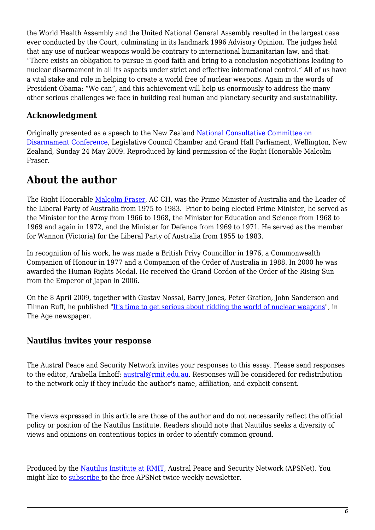the World Health Assembly and the United National General Assembly resulted in the largest case ever conducted by the Court, culminating in its landmark 1996 Advisory Opinion. The judges held that any use of nuclear weapons would be contrary to international humanitarian law, and that: "There exists an obligation to pursue in good faith and bring to a conclusion negotiations leading to nuclear disarmament in all its aspects under strict and effective international control." All of us have a vital stake and role in helping to create a world free of nuclear weapons. Again in the words of President Obama: "We can", and this achievement will help us enormously to address the many other serious challenges we face in building real human and planetary security and sustainability.

#### **Acknowledgment**

Originally presented as a speech to the New Zealand [National Consultative Committee on](http://www.converge.org.nz/pma/nccd09.htm) [Disarmament Conference](http://www.converge.org.nz/pma/nccd09.htm), Legislative Council Chamber and Grand Hall Parliament, Wellington, New Zealand, Sunday 24 May 2009. Reproduced by kind permission of the Right Honorable Malcolm Fraser.

### **About the author**

The Right Honorable [Malcolm Fraser,](http://en.wikipedia.org/wiki/Malcolm_Fraser) AC CH, was the Prime Minister of Australia and the Leader of the Liberal Party of Australia from 1975 to 1983. Prior to being elected Prime Minister, he served as the Minister for the Army from 1966 to 1968, the Minister for Education and Science from 1968 to 1969 and again in 1972, and the Minister for Defence from 1969 to 1971. He served as the member for Wannon (Victoria) for the Liberal Party of Australia from 1955 to 1983.

In recognition of his work, he was made a British Privy Councillor in 1976, a Commonwealth Companion of Honour in 1977 and a Companion of the Order of Australia in 1988. In 2000 he was awarded the Human Rights Medal. He received the Grand Cordon of the Order of the Rising Sun from the Emperor of Japan in 2006.

On the 8 April 2009, together with Gustav Nossal, Barry Jones, Peter Gration, John Sanderson and Tilman Ruff, he published "[It's time to get serious about ridding the world of nuclear weapons](http://www.brisbanetimes.com.au/opinion/its-time-to-get-serious-about-ridding-the-world-of-nuclear-weapons-20090407-9zhw.html?page=-1)", in The Age newspaper.

#### **Nautilus invites your response**

The Austral Peace and Security Network invites your responses to this essay. Please send responses to the editor, Arabella Imhoff: [austral@rmit.edu.au](mailto:austral@rmit.edu.au). Responses will be considered for redistribution to the network only if they include the author's name, affiliation, and explicit consent.

The views expressed in this article are those of the author and do not necessarily reflect the official policy or position of the Nautilus Institute. Readers should note that Nautilus seeks a diversity of views and opinions on contentious topics in order to identify common ground.

Produced by the [Nautilus Institute at RMIT,](http://nautilus.org/nautilus-institute-in-australia.html) Austral Peace and Security Network (APSNet). You might like to [subscribe t](https://nautilus.org/mailman/listinfo/apsnet)o the free APSNet twice weekly newsletter.